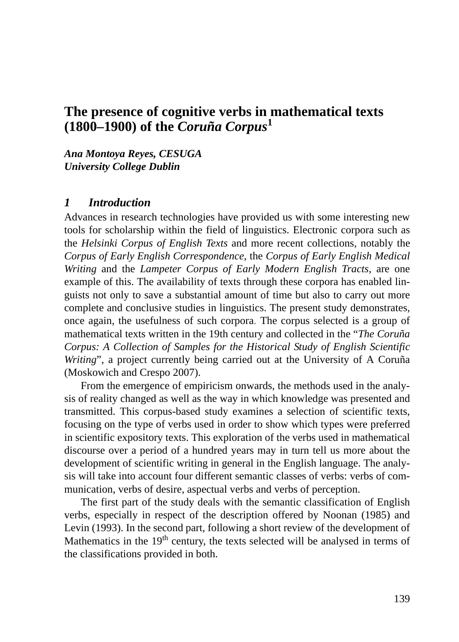# **The presence of cognitive verbs in mathematical texts (1800–1900) of the** *Coruña Corpus***<sup>1</sup>**

*Ana Montoya Reyes, CESUGA University College Dublin*

#### *1 Introduction*

Advances in research technologies have provided us with some interesting new tools for scholarship within the field of linguistics. Electronic corpora such as the *Helsinki Corpus of English Texts* and more recent collections, notably the *Corpus of Early English Correspondence*, the *Corpus of Early English Medical Writing* and the *Lampeter Corpus of Early Modern English Tracts*, are one example of this. The availability of texts through these corpora has enabled linguists not only to save a substantial amount of time but also to carry out more complete and conclusive studies in linguistics. The present study demonstrates, once again, the usefulness of such corpora. The corpus selected is a group of mathematical texts written in the 19th century and collected in the "*The Coruña Corpus: A Collection of Samples for the Historical Study of English Scientific Writing*", a project currently being carried out at the University of A Coruña (Moskowich and Crespo 2007).

From the emergence of empiricism onwards, the methods used in the analysis of reality changed as well as the way in which knowledge was presented and transmitted. This corpus-based study examines a selection of scientific texts, focusing on the type of verbs used in order to show which types were preferred in scientific expository texts. This exploration of the verbs used in mathematical discourse over a period of a hundred years may in turn tell us more about the development of scientific writing in general in the English language. The analysis will take into account four different semantic classes of verbs: verbs of communication, verbs of desire, aspectual verbs and verbs of perception.

The first part of the study deals with the semantic classification of English verbs, especially in respect of the description offered by Noonan (1985) and Levin (1993). In the second part, following a short review of the development of Mathematics in the  $19<sup>th</sup>$  century, the texts selected will be analysed in terms of the classifications provided in both.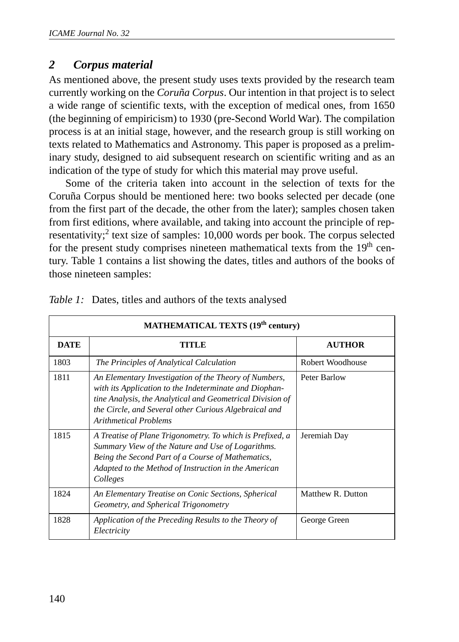# *2 Corpus material*

As mentioned above, the present study uses texts provided by the research team currently working on the *Coruña Corpus*. Our intention in that project is to select a wide range of scientific texts, with the exception of medical ones, from 1650 (the beginning of empiricism) to 1930 (pre-Second World War). The compilation process is at an initial stage, however, and the research group is still working on texts related to Mathematics and Astronomy. This paper is proposed as a preliminary study, designed to aid subsequent research on scientific writing and as an indication of the type of study for which this material may prove useful.

Some of the criteria taken into account in the selection of texts for the Coruña Corpus should be mentioned here: two books selected per decade (one from the first part of the decade, the other from the later); samples chosen taken from first editions, where available, and taking into account the principle of representativity;<sup>2</sup> text size of samples:  $10,000$  words per book. The corpus selected for the present study comprises nineteen mathematical texts from the  $19<sup>th</sup>$  century. Table 1 contains a list showing the dates, titles and authors of the books of those nineteen samples:

| <b>MATHEMATICAL TEXTS (19<sup>th</sup> century)</b> |                                                                                                                                                                                                                                                                       |                   |  |  |  |
|-----------------------------------------------------|-----------------------------------------------------------------------------------------------------------------------------------------------------------------------------------------------------------------------------------------------------------------------|-------------------|--|--|--|
| <b>DATE</b>                                         | TITLE                                                                                                                                                                                                                                                                 | <b>AUTHOR</b>     |  |  |  |
| 1803                                                | The Principles of Analytical Calculation                                                                                                                                                                                                                              | Robert Woodhouse  |  |  |  |
| 1811                                                | An Elementary Investigation of the Theory of Numbers,<br>with its Application to the Indeterminate and Diophan-<br>tine Analysis, the Analytical and Geometrical Division of<br>the Circle, and Several other Curious Algebraical and<br><b>Arithmetical Problems</b> | Peter Barlow      |  |  |  |
| 1815                                                | A Treatise of Plane Trigonometry. To which is Prefixed, a<br>Summary View of the Nature and Use of Logarithms.<br>Being the Second Part of a Course of Mathematics,<br>Adapted to the Method of Instruction in the American<br>Colleges                               | Jeremiah Day      |  |  |  |
| 1824                                                | An Elementary Treatise on Conic Sections, Spherical<br>Geometry, and Spherical Trigonometry                                                                                                                                                                           | Matthew R. Dutton |  |  |  |
| 1828                                                | Application of the Preceding Results to the Theory of<br>Electricity                                                                                                                                                                                                  | George Green      |  |  |  |

| Table 1: Dates, titles and authors of the texts analysed |  |  |  |  |  |
|----------------------------------------------------------|--|--|--|--|--|
|                                                          |  |  |  |  |  |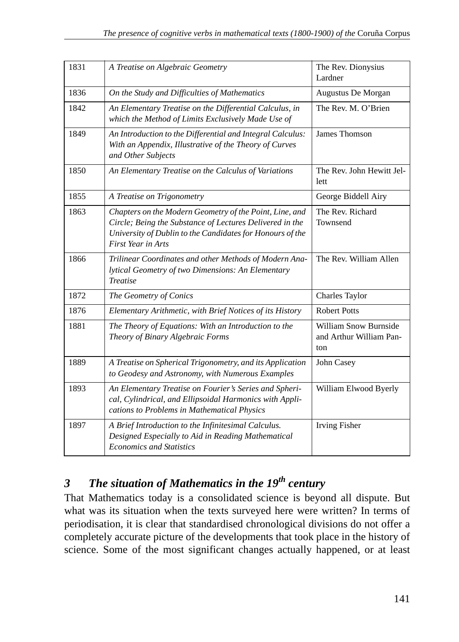| 1831 | A Treatise on Algebraic Geometry                                                                                                                                                                              | The Rev. Dionysius<br>Lardner                           |
|------|---------------------------------------------------------------------------------------------------------------------------------------------------------------------------------------------------------------|---------------------------------------------------------|
| 1836 | On the Study and Difficulties of Mathematics                                                                                                                                                                  | Augustus De Morgan                                      |
| 1842 | An Elementary Treatise on the Differential Calculus, in<br>which the Method of Limits Exclusively Made Use of                                                                                                 | The Rev. M. O'Brien                                     |
| 1849 | An Introduction to the Differential and Integral Calculus:<br>With an Appendix, Illustrative of the Theory of Curves<br>and Other Subjects                                                                    | James Thomson                                           |
| 1850 | An Elementary Treatise on the Calculus of Variations                                                                                                                                                          | The Rev. John Hewitt Jel-<br>lett                       |
| 1855 | A Treatise on Trigonometry                                                                                                                                                                                    | George Biddell Airy                                     |
| 1863 | Chapters on the Modern Geometry of the Point, Line, and<br>Circle; Being the Substance of Lectures Delivered in the<br>University of Dublin to the Candidates for Honours of the<br><b>First Year in Arts</b> | The Rev. Richard<br>Townsend                            |
| 1866 | Trilinear Coordinates and other Methods of Modern Ana-<br>lytical Geometry of two Dimensions: An Elementary<br><b>Treatise</b>                                                                                | The Rev. William Allen                                  |
| 1872 | The Geometry of Conics                                                                                                                                                                                        | Charles Taylor                                          |
| 1876 | Elementary Arithmetic, with Brief Notices of its History                                                                                                                                                      | <b>Robert Potts</b>                                     |
| 1881 | The Theory of Equations: With an Introduction to the<br>Theory of Binary Algebraic Forms                                                                                                                      | William Snow Burnside<br>and Arthur William Pan-<br>ton |
| 1889 | A Treatise on Spherical Trigonometry, and its Application<br>to Geodesy and Astronomy, with Numerous Examples                                                                                                 | John Casey                                              |
| 1893 | An Elementary Treatise on Fourier's Series and Spheri-<br>cal, Cylindrical, and Ellipsoidal Harmonics with Appli-<br>cations to Problems in Mathematical Physics                                              | William Elwood Byerly                                   |
| 1897 | A Brief Introduction to the Infinitesimal Calculus.<br>Designed Especially to Aid in Reading Mathematical<br><b>Economics and Statistics</b>                                                                  | <b>Irving Fisher</b>                                    |

# *3 The situation of Mathematics in the 19th century*

That Mathematics today is a consolidated science is beyond all dispute. But what was its situation when the texts surveyed here were written? In terms of periodisation, it is clear that standardised chronological divisions do not offer a completely accurate picture of the developments that took place in the history of science. Some of the most significant changes actually happened, or at least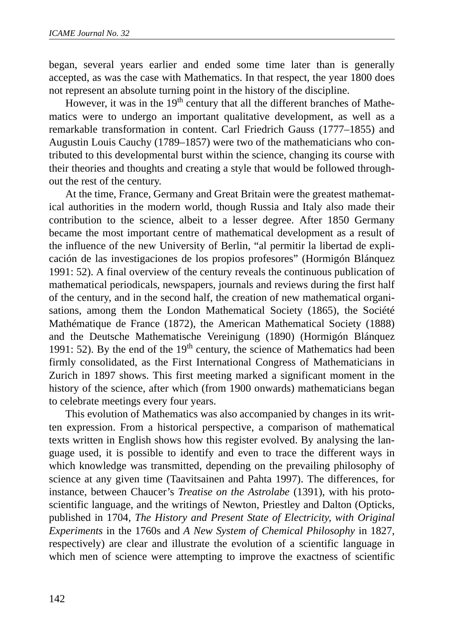began, several years earlier and ended some time later than is generally accepted, as was the case with Mathematics. In that respect, the year 1800 does not represent an absolute turning point in the history of the discipline.

However, it was in the 19<sup>th</sup> century that all the different branches of Mathematics were to undergo an important qualitative development, as well as a remarkable transformation in content. Carl Friedrich Gauss (1777–1855) and Augustin Louis Cauchy (1789–1857) were two of the mathematicians who contributed to this developmental burst within the science, changing its course with their theories and thoughts and creating a style that would be followed throughout the rest of the century.

At the time, France, Germany and Great Britain were the greatest mathematical authorities in the modern world, though Russia and Italy also made their contribution to the science, albeit to a lesser degree. After 1850 Germany became the most important centre of mathematical development as a result of the influence of the new University of Berlin, "al permitir la libertad de explicación de las investigaciones de los propios profesores" (Hormigón Blánquez 1991: 52). A final overview of the century reveals the continuous publication of mathematical periodicals, newspapers, journals and reviews during the first half of the century, and in the second half, the creation of new mathematical organisations, among them the London Mathematical Society (1865), the Société Mathématique de France (1872), the American Mathematical Society (1888) and the Deutsche Mathematische Vereinigung (1890) (Hormigón Blánquez 1991: 52). By the end of the  $19<sup>th</sup>$  century, the science of Mathematics had been firmly consolidated, as the First International Congress of Mathematicians in Zurich in 1897 shows. This first meeting marked a significant moment in the history of the science, after which (from 1900 onwards) mathematicians began to celebrate meetings every four years.

This evolution of Mathematics was also accompanied by changes in its written expression. From a historical perspective, a comparison of mathematical texts written in English shows how this register evolved. By analysing the language used, it is possible to identify and even to trace the different ways in which knowledge was transmitted, depending on the prevailing philosophy of science at any given time (Taavitsainen and Pahta 1997). The differences, for instance, between Chaucer's *Treatise on the Astrolabe* (1391), with his protoscientific language, and the writings of Newton, Priestley and Dalton (Opticks, published in 1704, *The History and Present State of Electricity, with Original Experiments* in the 1760s and *A New System of Chemical Philosophy* in 1827, respectively) are clear and illustrate the evolution of a scientific language in which men of science were attempting to improve the exactness of scientific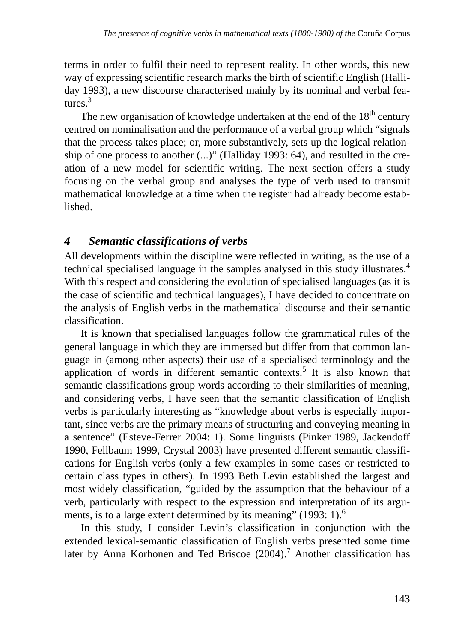terms in order to fulfil their need to represent reality. In other words, this new way of expressing scientific research marks the birth of scientific English (Halliday 1993), a new discourse characterised mainly by its nominal and verbal features $3$ 

The new organisation of knowledge undertaken at the end of the  $18<sup>th</sup>$  century centred on nominalisation and the performance of a verbal group which "signals that the process takes place; or, more substantively, sets up the logical relationship of one process to another (...)" (Halliday 1993: 64), and resulted in the creation of a new model for scientific writing. The next section offers a study focusing on the verbal group and analyses the type of verb used to transmit mathematical knowledge at a time when the register had already become established.

## *4 Semantic classifications of verbs*

All developments within the discipline were reflected in writing, as the use of a technical specialised language in the samples analysed in this study illustrates.<sup>4</sup> With this respect and considering the evolution of specialised languages (as it is the case of scientific and technical languages), I have decided to concentrate on the analysis of English verbs in the mathematical discourse and their semantic classification.

It is known that specialised languages follow the grammatical rules of the general language in which they are immersed but differ from that common language in (among other aspects) their use of a specialised terminology and the application of words in different semantic contexts.<sup>5</sup> It is also known that semantic classifications group words according to their similarities of meaning, and considering verbs, I have seen that the semantic classification of English verbs is particularly interesting as "knowledge about verbs is especially important, since verbs are the primary means of structuring and conveying meaning in a sentence" (Esteve-Ferrer 2004: 1). Some linguists (Pinker 1989, Jackendoff 1990, Fellbaum 1999, Crystal 2003) have presented different semantic classifications for English verbs (only a few examples in some cases or restricted to certain class types in others). In 1993 Beth Levin established the largest and most widely classification, "guided by the assumption that the behaviour of a verb, particularly with respect to the expression and interpretation of its arguments, is to a large extent determined by its meaning" (1993: 1).<sup>6</sup>

In this study, I consider Levin's classification in conjunction with the extended lexical-semantic classification of English verbs presented some time later by Anna Korhonen and Ted Briscoe  $(2004)$ .<sup>7</sup> Another classification has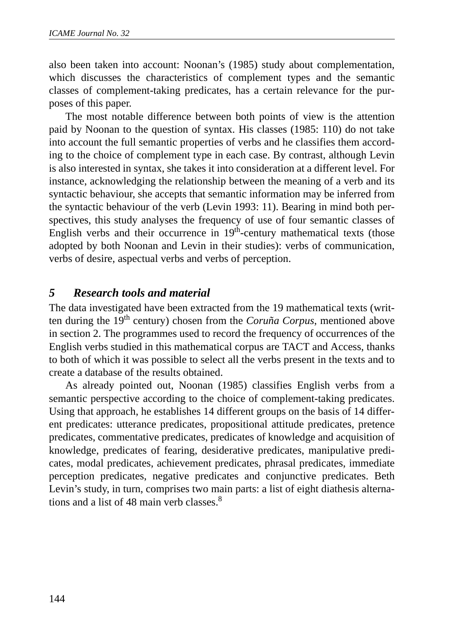also been taken into account: Noonan's (1985) study about complementation, which discusses the characteristics of complement types and the semantic classes of complement-taking predicates, has a certain relevance for the purposes of this paper.

The most notable difference between both points of view is the attention paid by Noonan to the question of syntax. His classes (1985: 110) do not take into account the full semantic properties of verbs and he classifies them according to the choice of complement type in each case. By contrast, although Levin is also interested in syntax, she takes it into consideration at a different level. For instance, acknowledging the relationship between the meaning of a verb and its syntactic behaviour, she accepts that semantic information may be inferred from the syntactic behaviour of the verb (Levin 1993: 11). Bearing in mind both perspectives, this study analyses the frequency of use of four semantic classes of English verbs and their occurrence in  $19<sup>th</sup>$ -century mathematical texts (those adopted by both Noonan and Levin in their studies): verbs of communication, verbs of desire, aspectual verbs and verbs of perception.

# *5 Research tools and material*

The data investigated have been extracted from the 19 mathematical texts (written during the 19th century) chosen from the *Coruña Corpus*, mentioned above in section 2. The programmes used to record the frequency of occurrences of the English verbs studied in this mathematical corpus are TACT and Access, thanks to both of which it was possible to select all the verbs present in the texts and to create a database of the results obtained.

As already pointed out, Noonan (1985) classifies English verbs from a semantic perspective according to the choice of complement-taking predicates. Using that approach, he establishes 14 different groups on the basis of 14 different predicates: utterance predicates, propositional attitude predicates, pretence predicates, commentative predicates, predicates of knowledge and acquisition of knowledge, predicates of fearing, desiderative predicates, manipulative predicates, modal predicates, achievement predicates, phrasal predicates, immediate perception predicates, negative predicates and conjunctive predicates. Beth Levin's study, in turn, comprises two main parts: a list of eight diathesis alternations and a list of 48 main verb classes. $8<sup>8</sup>$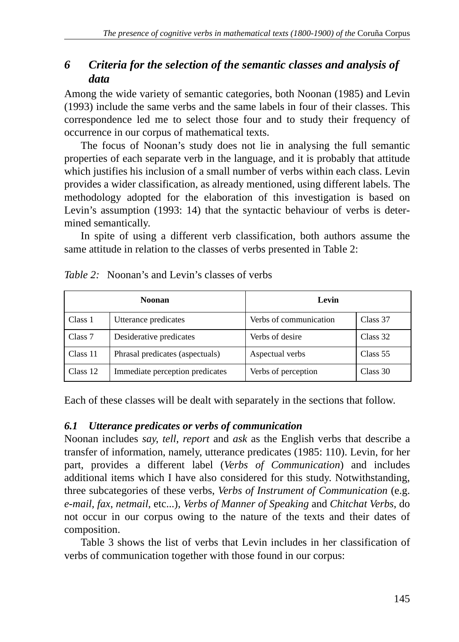# *6 Criteria for the selection of the semantic classes and analysis of data*

Among the wide variety of semantic categories, both Noonan (1985) and Levin (1993) include the same verbs and the same labels in four of their classes. This correspondence led me to select those four and to study their frequency of occurrence in our corpus of mathematical texts.

The focus of Noonan's study does not lie in analysing the full semantic properties of each separate verb in the language, and it is probably that attitude which justifies his inclusion of a small number of verbs within each class. Levin provides a wider classification, as already mentioned, using different labels. The methodology adopted for the elaboration of this investigation is based on Levin's assumption (1993: 14) that the syntactic behaviour of verbs is determined semantically.

In spite of using a different verb classification, both authors assume the same attitude in relation to the classes of verbs presented in Table 2:

| <b>Noonan</b> |                                 | Levin                  |          |
|---------------|---------------------------------|------------------------|----------|
| Class 1       | Utterance predicates            | Verbs of communication | Class 37 |
| Class 7       | Desiderative predicates         | Verbs of desire        | Class 32 |
| Class 11      | Phrasal predicates (aspectuals) | Aspectual verbs        | Class 55 |
| Class 12      | Immediate perception predicates | Verbs of perception    | Class 30 |

| <i>Table 2:</i> Noonan's and Levin's classes of verbs |  |  |  |  |  |
|-------------------------------------------------------|--|--|--|--|--|
|-------------------------------------------------------|--|--|--|--|--|

Each of these classes will be dealt with separately in the sections that follow.

### *6.1 Utterance predicates or verbs of communication*

Noonan includes *say*, *tell*, *report* and *ask* as the English verbs that describe a transfer of information, namely, utterance predicates (1985: 110). Levin, for her part, provides a different label (*Verbs of Communication*) and includes additional items which I have also considered for this study. Notwithstanding, three subcategories of these verbs, *Verbs of Instrument of Communication* (e.g. *e-mail*, *fax*, *netmail*, etc...), *Verbs of Manner of Speaking* and *Chitchat Verbs*, do not occur in our corpus owing to the nature of the texts and their dates of composition.

Table 3 shows the list of verbs that Levin includes in her classification of verbs of communication together with those found in our corpus: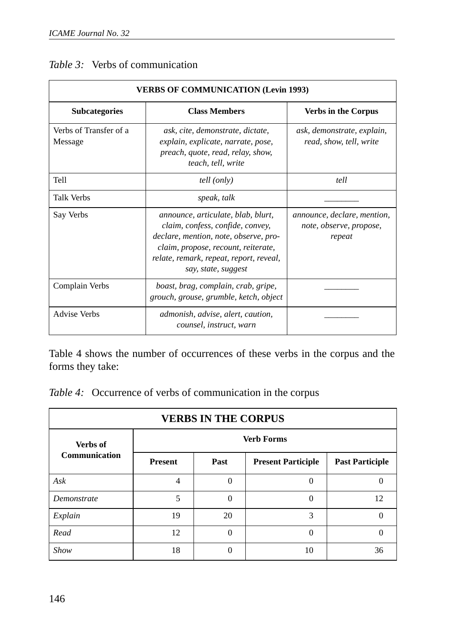| <b>VERBS OF COMMUNICATION (Levin 1993)</b> |                                                                                                                                                                                                                          |                                                                  |  |  |  |
|--------------------------------------------|--------------------------------------------------------------------------------------------------------------------------------------------------------------------------------------------------------------------------|------------------------------------------------------------------|--|--|--|
| <b>Subcategories</b>                       | <b>Class Members</b>                                                                                                                                                                                                     | <b>Verbs in the Corpus</b>                                       |  |  |  |
| Verbs of Transfer of a<br>Message          | ask, cite, demonstrate, dictate,<br>explain, explicate, narrate, pose,<br>preach, quote, read, relay, show,<br>teach, tell, write                                                                                        | ask, demonstrate, explain,<br>read, show, tell, write            |  |  |  |
| Tell                                       | tell (only)                                                                                                                                                                                                              | tell                                                             |  |  |  |
| <b>Talk Verbs</b>                          | speak, talk                                                                                                                                                                                                              |                                                                  |  |  |  |
| Say Verbs                                  | announce, articulate, blab, blurt,<br>claim, confess, confide, convey,<br>declare, mention, note, observe, pro-<br>claim, propose, recount, reiterate,<br>relate, remark, repeat, report, reveal,<br>say, state, suggest | announce, declare, mention,<br>note, observe, propose,<br>repeat |  |  |  |
| Complain Verbs                             | boast, brag, complain, crab, gripe,<br>grouch, grouse, grumble, ketch, object                                                                                                                                            |                                                                  |  |  |  |
| <b>Advise Verbs</b>                        | admonish, advise, alert, caution,<br>counsel, instruct, warn                                                                                                                                                             |                                                                  |  |  |  |

Table 4 shows the number of occurrences of these verbs in the corpus and the forms they take:

*Table 4:* Occurrence of verbs of communication in the corpus

| <b>VERBS IN THE CORPUS</b> |                   |          |                           |                        |  |  |
|----------------------------|-------------------|----------|---------------------------|------------------------|--|--|
| Verbs of                   | <b>Verb Forms</b> |          |                           |                        |  |  |
| <b>Communication</b>       | <b>Present</b>    | Past     | <b>Present Participle</b> | <b>Past Participle</b> |  |  |
| Ask                        | $\overline{4}$    | $\Omega$ | 0                         |                        |  |  |
| Demonstrate                | 5                 |          | 0                         | 12                     |  |  |
| Explain                    | 19                | 20       | 3                         |                        |  |  |
| Read                       | 12                |          | 0                         |                        |  |  |
| Show                       | 18                |          | 10                        | 36                     |  |  |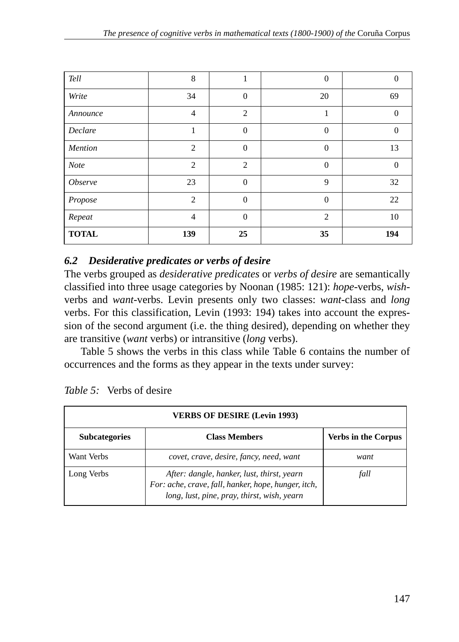| Tell                  | 8              | 1              | $\mathbf{0}$   | $\overline{0}$ |
|-----------------------|----------------|----------------|----------------|----------------|
| Write                 | 34             | $\overline{0}$ | 20             | 69             |
| Announce              | $\overline{4}$ | $\overline{c}$ | 1              | $\Omega$       |
| Declare               | 1              | $\Omega$       | $\mathbf{0}$   | $\overline{0}$ |
| Mention               | $\overline{c}$ | $\overline{0}$ | $\overline{0}$ | 13             |
| Note                  | $\overline{c}$ | $\overline{2}$ | $\mathbf{0}$   | $\Omega$       |
| <i><b>Observe</b></i> | 23             | $\overline{0}$ | 9              | 32             |
| Propose               | $\overline{c}$ | $\Omega$       | $\mathbf{0}$   | 22             |
| Repeat                | 4              | $\Omega$       | $\overline{2}$ | 10             |
| <b>TOTAL</b>          | 139            | 25             | 35             | 194            |

## *6.2 Desiderative predicates or verbs of desire*

The verbs grouped as *desiderative predicates* or *verbs of desire* are semantically classified into three usage categories by Noonan (1985: 121): *hope*-verbs, *wish*verbs and *want*-verbs. Levin presents only two classes: *want*-class and *long* verbs. For this classification, Levin (1993: 194) takes into account the expression of the second argument (i.e. the thing desired), depending on whether they are transitive (*want* verbs) or intransitive (*long* verbs).

Table 5 shows the verbs in this class while Table 6 contains the number of occurrences and the forms as they appear in the texts under survey:

| <b>VERBS OF DESIRE (Levin 1993)</b> |                                                                                                                                                  |      |  |  |
|-------------------------------------|--------------------------------------------------------------------------------------------------------------------------------------------------|------|--|--|
| <b>Subcategories</b>                | <b>Verbs in the Corpus</b>                                                                                                                       |      |  |  |
| Want Verbs                          | covet, crave, desire, fancy, need, want                                                                                                          | want |  |  |
| Long Verbs                          | After: dangle, hanker, lust, thirst, yearn<br>For: ache, crave, fall, hanker, hope, hunger, itch,<br>long, lust, pine, pray, thirst, wish, yearn | fall |  |  |

*Table 5:* Verbs of desire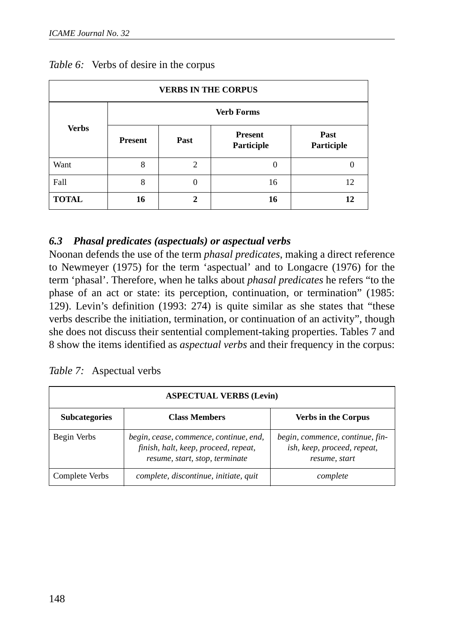| <b>VERBS IN THE CORPUS</b> |                   |                |                              |                    |  |
|----------------------------|-------------------|----------------|------------------------------|--------------------|--|
|                            | <b>Verb Forms</b> |                |                              |                    |  |
| <b>Verbs</b>               | <b>Present</b>    | Past           | <b>Present</b><br>Participle | Past<br>Participle |  |
| Want                       | 8                 | $\overline{c}$ | 0                            |                    |  |
| Fall                       | 8                 |                | 16                           | 12                 |  |
| <b>TOTAL</b>               | 16                | $\mathbf{2}$   | 16                           | 12                 |  |

#### *Table 6:* Verbs of desire in the corpus

### *6.3 Phasal predicates (aspectuals) or aspectual verbs*

Noonan defends the use of the term *phasal predicates*, making a direct reference to Newmeyer (1975) for the term 'aspectual' and to Longacre (1976) for the term 'phasal'. Therefore, when he talks about *phasal predicates* he refers "to the phase of an act or state: its perception, continuation, or termination" (1985: 129). Levin's definition (1993: 274) is quite similar as she states that "these verbs describe the initiation, termination, or continuation of an activity", though she does not discuss their sentential complement-taking properties. Tables 7 and 8 show the items identified as *aspectual verbs* and their frequency in the corpus:

|  | Table 7: Aspectual verbs |  |
|--|--------------------------|--|
|--|--------------------------|--|

| <b>ASPECTUAL VERBS (Levin)</b> |                                                                                                                  |                                                                                 |  |  |
|--------------------------------|------------------------------------------------------------------------------------------------------------------|---------------------------------------------------------------------------------|--|--|
| <b>Subcategories</b>           | <b>Class Members</b>                                                                                             | <b>Verbs in the Corpus</b>                                                      |  |  |
| Begin Verbs                    | begin, cease, commence, continue, end,<br>finish, halt, keep, proceed, repeat,<br>resume, start, stop, terminate | begin, commence, continue, fin-<br>ish, keep, proceed, repeat,<br>resume, start |  |  |
| Complete Verbs                 | complete, discontinue, initiate, quit                                                                            | complete                                                                        |  |  |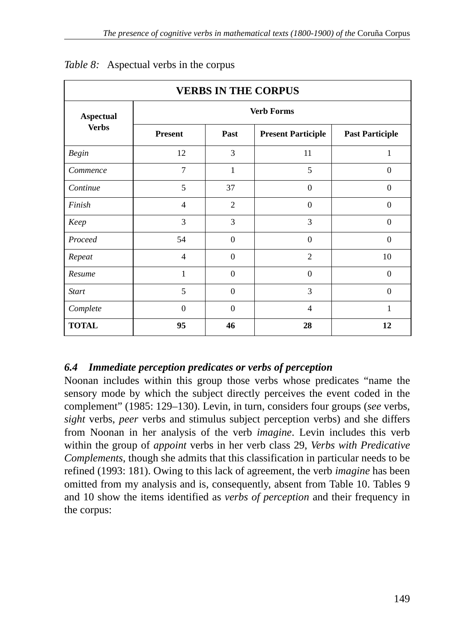| <b>VERBS IN THE CORPUS</b>       |                   |                |                           |                        |  |  |
|----------------------------------|-------------------|----------------|---------------------------|------------------------|--|--|
| <b>Aspectual</b><br><b>Verbs</b> | <b>Verb Forms</b> |                |                           |                        |  |  |
|                                  | <b>Present</b>    | Past           | <b>Present Participle</b> | <b>Past Participle</b> |  |  |
| <b>Begin</b>                     | 12                | 3              | 11                        | 1                      |  |  |
| Commence                         | 7                 | 1              | 5                         | $\Omega$               |  |  |
| Continue                         | 5                 | 37             | $\mathbf{0}$              | $\mathbf{0}$           |  |  |
| Finish                           | $\overline{4}$    | $\overline{2}$ | $\Omega$                  | $\mathbf{0}$           |  |  |
| Keep                             | 3                 | 3              | 3                         | $\mathbf{0}$           |  |  |
| Proceed                          | 54                | $\Omega$       | $\Omega$                  | $\mathbf{0}$           |  |  |
| Repeat                           | $\overline{4}$    | $\Omega$       | $\overline{2}$            | 10                     |  |  |
| Resume                           | 1                 | $\Omega$       | $\Omega$                  | $\mathbf{0}$           |  |  |
| <b>Start</b>                     | 5                 | $\mathbf{0}$   | 3                         | $\mathbf{0}$           |  |  |
| Complete                         | $\Omega$          | $\Omega$       | $\overline{4}$            | 1                      |  |  |
| <b>TOTAL</b>                     | 95                | 46             | 28                        | 12                     |  |  |

### *Table 8:* Aspectual verbs in the corpus

# *6.4 Immediate perception predicates or verbs of perception*

Noonan includes within this group those verbs whose predicates "name the sensory mode by which the subject directly perceives the event coded in the complement" (1985: 129–130). Levin, in turn, considers four groups (*see* verbs, *sight* verbs, *peer* verbs and stimulus subject perception verbs) and she differs from Noonan in her analysis of the verb *imagine*. Levin includes this verb within the group of *appoint* verbs in her verb class 29, *Verbs with Predicative Complements*, though she admits that this classification in particular needs to be refined (1993: 181). Owing to this lack of agreement, the verb *imagine* has been omitted from my analysis and is, consequently, absent from Table 10. Tables 9 and 10 show the items identified as *verbs of perception* and their frequency in the corpus: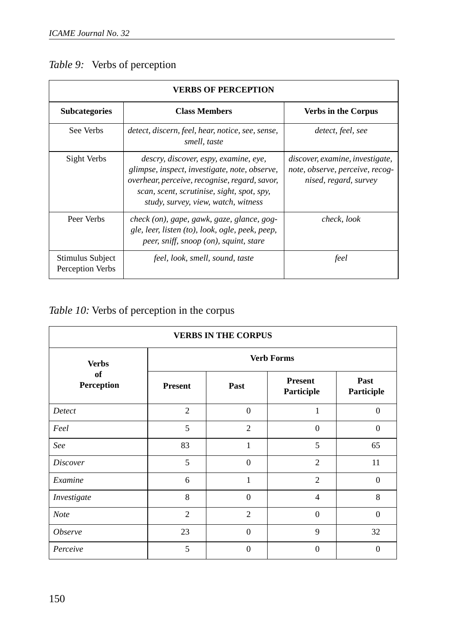|  |  |  | Table 9: Verbs of perception |
|--|--|--|------------------------------|
|--|--|--|------------------------------|

| <b>VERBS OF PERCEPTION</b>           |                                                                                                                                                                                                                              |                                                                                             |  |  |
|--------------------------------------|------------------------------------------------------------------------------------------------------------------------------------------------------------------------------------------------------------------------------|---------------------------------------------------------------------------------------------|--|--|
| <b>Subcategories</b>                 | <b>Class Members</b>                                                                                                                                                                                                         | <b>Verbs in the Corpus</b>                                                                  |  |  |
| See Verbs                            | detect, discern, feel, hear, notice, see, sense,<br>smell, taste                                                                                                                                                             | detect, feel, see                                                                           |  |  |
| Sight Verbs                          | descry, discover, espy, examine, eye,<br>glimpse, inspect, investigate, note, observe,<br>overhear, perceive, recognise, regard, savor,<br>scan, scent, scrutinise, sight, spot, spy,<br>study, survey, view, watch, witness | discover, examine, investigate,<br>note, observe, perceive, recog-<br>nised, regard, survey |  |  |
| Peer Verbs                           | check (on), gape, gawk, gaze, glance, gog-<br>gle, leer, listen (to), look, ogle, peek, peep,<br>peer, sniff, snoop (on), squint, stare                                                                                      | check, look                                                                                 |  |  |
| Stimulus Subject<br>Perception Verbs | feel, look, smell, sound, taste                                                                                                                                                                                              | feel                                                                                        |  |  |

# *Table 10:* Verbs of perception in the corpus

| <b>VERBS IN THE CORPUS</b>       |                   |                |                              |                    |  |
|----------------------------------|-------------------|----------------|------------------------------|--------------------|--|
| <b>Verbs</b><br>of<br>Perception | <b>Verb Forms</b> |                |                              |                    |  |
|                                  | <b>Present</b>    | Past           | <b>Present</b><br>Participle | Past<br>Participle |  |
| Detect                           | 2                 | $\theta$       | 1                            | $\overline{0}$     |  |
| Feel                             | 5                 | $\overline{c}$ | $\Omega$                     | $\Omega$           |  |
| See                              | 83                | 1              | 5                            | 65                 |  |
| <i>Discover</i>                  | 5                 | $\Omega$       | $\overline{2}$               | 11                 |  |
| Examine                          | 6                 | 1              | $\overline{c}$               | $\overline{0}$     |  |
| Investigate                      | 8                 | $\Omega$       | $\overline{4}$               | 8                  |  |
| <b>Note</b>                      | $\overline{c}$    | $\overline{c}$ | $\Omega$                     | $\Omega$           |  |
| <i><b>Observe</b></i>            | 23                | $\Omega$       | 9                            | 32                 |  |
| Perceive                         | 5                 | $\Omega$       | $\theta$                     | $\overline{0}$     |  |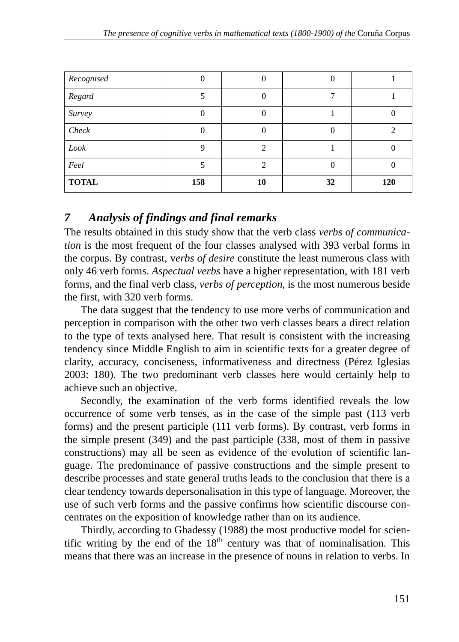| Recognised   |     |    |    |     |
|--------------|-----|----|----|-----|
| Regard       |     |    |    |     |
| Survey       |     |    |    |     |
| Check        |     |    |    |     |
| Look         |     |    |    |     |
| Feel         |     |    |    |     |
| <b>TOTAL</b> | 158 | 10 | 32 | 120 |

# *7 Analysis of findings and final remarks*

The results obtained in this study show that the verb class *verbs of communication* is the most frequent of the four classes analysed with 393 verbal forms in the corpus. By contrast, v*erbs of desire* constitute the least numerous class with only 46 verb forms. *Aspectual verbs* have a higher representation, with 181 verb forms, and the final verb class, *verbs of perception*, is the most numerous beside the first, with 320 verb forms.

The data suggest that the tendency to use more verbs of communication and perception in comparison with the other two verb classes bears a direct relation to the type of texts analysed here. That result is consistent with the increasing tendency since Middle English to aim in scientific texts for a greater degree of clarity, accuracy, conciseness, informativeness and directness (Pérez Iglesias 2003: 180). The two predominant verb classes here would certainly help to achieve such an objective.

Secondly, the examination of the verb forms identified reveals the low occurrence of some verb tenses, as in the case of the simple past (113 verb forms) and the present participle (111 verb forms). By contrast, verb forms in the simple present (349) and the past participle (338, most of them in passive constructions) may all be seen as evidence of the evolution of scientific language. The predominance of passive constructions and the simple present to describe processes and state general truths leads to the conclusion that there is a clear tendency towards depersonalisation in this type of language. Moreover, the use of such verb forms and the passive confirms how scientific discourse concentrates on the exposition of knowledge rather than on its audience.

Thirdly, according to Ghadessy (1988) the most productive model for scientific writing by the end of the  $18<sup>th</sup>$  century was that of nominalisation. This means that there was an increase in the presence of nouns in relation to verbs. In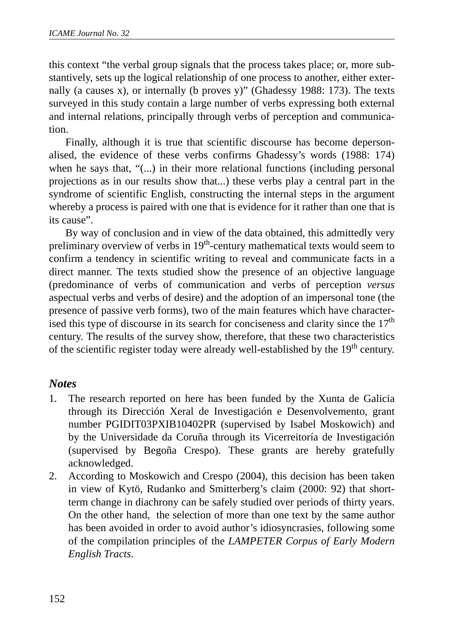this context "the verbal group signals that the process takes place; or, more substantively, sets up the logical relationship of one process to another, either externally (a causes x), or internally (b proves y)" (Ghadessy 1988: 173). The texts surveyed in this study contain a large number of verbs expressing both external and internal relations, principally through verbs of perception and communication.

Finally, although it is true that scientific discourse has become depersonalised, the evidence of these verbs confirms Ghadessy's words (1988: 174) when he says that, "(...) in their more relational functions (including personal projections as in our results show that...) these verbs play a central part in the syndrome of scientific English, constructing the internal steps in the argument whereby a process is paired with one that is evidence for it rather than one that is its cause".

By way of conclusion and in view of the data obtained, this admittedly very preliminary overview of verbs in 19<sup>th</sup>-century mathematical texts would seem to confirm a tendency in scientific writing to reveal and communicate facts in a direct manner. The texts studied show the presence of an objective language (predominance of verbs of communication and verbs of perception *versus* aspectual verbs and verbs of desire) and the adoption of an impersonal tone (the presence of passive verb forms), two of the main features which have characterised this type of discourse in its search for conciseness and clarity since the  $17<sup>th</sup>$ century. The results of the survey show, therefore, that these two characteristics of the scientific register today were already well-established by the 19<sup>th</sup> century.

### *Notes*

- 1. The research reported on here has been funded by the Xunta de Galicia through its Dirección Xeral de Investigación e Desenvolvemento, grant number PGIDIT03PXIB10402PR (supervised by Isabel Moskowich) and by the Universidade da Coruña through its Vicerreitoría de Investigación (supervised by Begoña Crespo). These grants are hereby gratefully acknowledged.
- 2. According to Moskowich and Crespo (2004), this decision has been taken in view of Kytö, Rudanko and Smitterberg's claim (2000: 92) that shortterm change in diachrony can be safely studied over periods of thirty years. On the other hand, the selection of more than one text by the same author has been avoided in order to avoid author's idiosyncrasies, following some of the compilation principles of the *LAMPETER Corpus of Early Modern English Tracts*.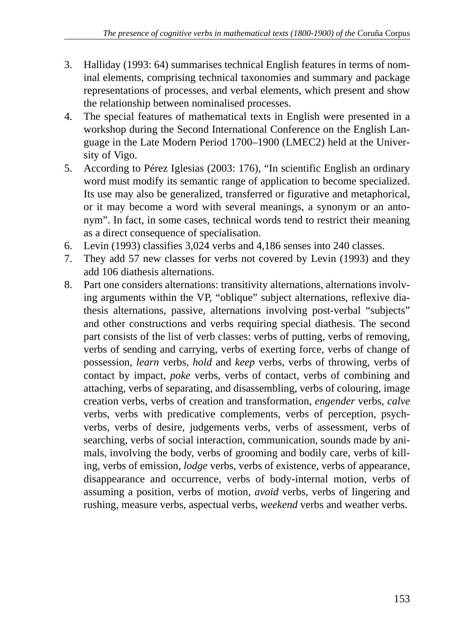- 3. Halliday (1993: 64) summarises technical English features in terms of nominal elements, comprising technical taxonomies and summary and package representations of processes, and verbal elements, which present and show the relationship between nominalised processes.
- 4. The special features of mathematical texts in English were presented in a workshop during the Second International Conference on the English Language in the Late Modern Period 1700–1900 (LMEC2) held at the University of Vigo.
- 5. According to Pérez Iglesias (2003: 176), "In scientific English an ordinary word must modify its semantic range of application to become specialized. Its use may also be generalized, transferred or figurative and metaphorical, or it may become a word with several meanings, a synonym or an antonym". In fact, in some cases, technical words tend to restrict their meaning as a direct consequence of specialisation.
- 6. Levin (1993) classifies 3,024 verbs and 4,186 senses into 240 classes.
- 7. They add 57 new classes for verbs not covered by Levin (1993) and they add 106 diathesis alternations.
- 8. Part one considers alternations: transitivity alternations, alternations involving arguments within the VP, "oblique" subject alternations, reflexive diathesis alternations, passive, alternations involving post-verbal "subjects" and other constructions and verbs requiring special diathesis. The second part consists of the list of verb classes: verbs of putting, verbs of removing, verbs of sending and carrying, verbs of exerting force, verbs of change of possession, *learn* verbs, *hold* and *keep* verbs, verbs of throwing, verbs of contact by impact, *poke* verbs, verbs of contact, verbs of combining and attaching, verbs of separating, and disassembling, verbs of colouring, image creation verbs, verbs of creation and transformation, *engender* verbs, *calve* verbs, verbs with predicative complements, verbs of perception, psychverbs, verbs of desire, judgements verbs, verbs of assessment, verbs of searching, verbs of social interaction, communication, sounds made by animals, involving the body, verbs of grooming and bodily care, verbs of killing, verbs of emission, *lodge* verbs, verbs of existence, verbs of appearance, disappearance and occurrence, verbs of body-internal motion, verbs of assuming a position, verbs of motion, *avoid* verbs, verbs of lingering and rushing, measure verbs, aspectual verbs, *weekend* verbs and weather verbs.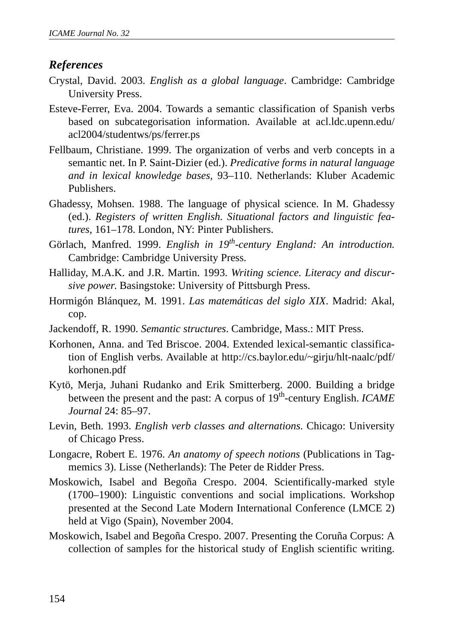### *References*

- Crystal, David. 2003. *English as a global language*. Cambridge: Cambridge University Press.
- Esteve-Ferrer, Eva. 2004. Towards a semantic classification of Spanish verbs based on subcategorisation information. Available at acl.ldc.upenn.edu/ acl2004/studentws/ps/ferrer.ps
- Fellbaum, Christiane. 1999. The organization of verbs and verb concepts in a semantic net. In P. Saint-Dizier (ed.). *Predicative forms in natural language and in lexical knowledge bases,* 93–110. Netherlands: Kluber Academic Publishers.
- Ghadessy, Mohsen. 1988. The language of physical science*.* In M. Ghadessy (ed.). *Registers of written English. Situational factors and linguistic features,* 161–178. London, NY: Pinter Publishers.
- Görlach, Manfred. 1999. *English in 19th-century England: An introduction.* Cambridge: Cambridge University Press.
- Halliday, M.A.K. and J.R. Martin. 1993. *Writing science. Literacy and discursive power*. Basingstoke: University of Pittsburgh Press.
- Hormigón Blánquez, M. 1991. *Las matemáticas del siglo XIX*. Madrid: Akal, cop.
- Jackendoff, R. 1990. *Semantic structures*. Cambridge, Mass.: MIT Press.
- Korhonen, Anna. and Ted Briscoe. 2004. Extended lexical-semantic classification of English verbs. Available at http://cs.baylor.edu/~girju/hlt-naalc/pdf/ korhonen.pdf
- Kytö, Merja, Juhani Rudanko and Erik Smitterberg. 2000. Building a bridge between the present and the past: A corpus of 19<sup>th</sup>-century English. *ICAME Journal* 24: 85–97.
- Levin, Beth. 1993. *English verb classes and alternations*. Chicago: University of Chicago Press.
- Longacre, Robert E. 1976. *An anatomy of speech notions* (Publications in Tagmemics 3). Lisse (Netherlands): The Peter de Ridder Press.
- Moskowich, Isabel and Begoña Crespo. 2004. Scientifically-marked style (1700–1900): Linguistic conventions and social implications. Workshop presented at the Second Late Modern International Conference (LMCE 2) held at Vigo (Spain), November 2004.
- Moskowich, Isabel and Begoña Crespo. 2007. Presenting the Coruña Corpus: A collection of samples for the historical study of English scientific writing.